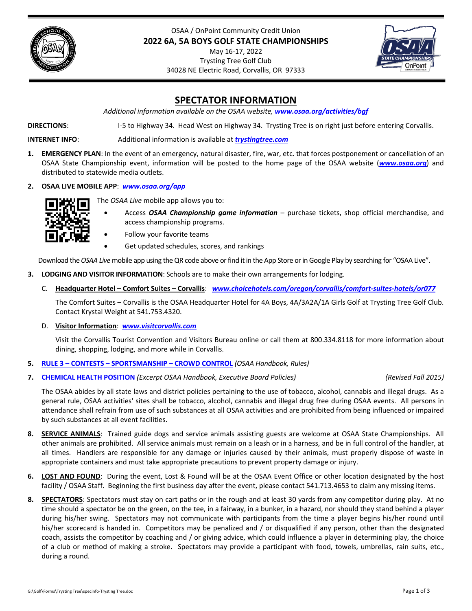



# **SPECTATOR INFORMATION**

*Additional information available on the OSAA website, [www.osaa.org/activities/bgf](https://www.osaa.org/activities/bgf)*

**DIRECTIONS**: I‐5 to Highway 34. Head West on Highway 34. Trysting Tree is on right just before entering Corvallis.

**INTERNET INFO**: Additional information is available at *[trystingtree.com](https://trystingtree.com)*

- **1. EMERGENCY PLAN**: In the event of an emergency, natural disaster, fire, war, etc. that forces postponement or cancellation of an OSAA State Championship event, information will be posted to the home page of the OSAA website (*[www.osaa.org](https://www.osaa.org/)*) and distributed to statewide media outlets.
- **2. OSAA LIVE MOBILE APP**: *[www.osaa.org/app](https://www.osaa.org/app)*



- The *OSAA Live* mobile app allows you to:
	- Access *OSAA Championship game information* purchase tickets, shop official merchandise, and access championship programs.
	- Follow your favorite teams
		- Get updated schedules, scores, and rankings

Download the *OSAA Live* mobile app using the QR code above or find it in the App Store or in Google Play by searching for "OSAA Live".

- **3. LODGING AND VISITOR INFORMATION**: Schools are to make their own arrangements for lodging.
	- C. **Headquarter Hotel – Comfort Suites – Corvallis**: *[www.choicehotels.com/oregon/corvallis/comfort](https://www.choicehotesl.com/oregon/corvallis/comfort-suites-hotels/or077)‐suites‐hotels/or077*

The Comfort Suites – Corvallis is the OSAA Headquarter Hotel for 4A Boys, 4A/3A2A/1A Girls Golf at Trysting Tree Golf Club. Contact Krystal Weight at 541.753.4320.

D. **Visitor Information**: *[www.visitcorvallis.com](https://www.visitcorvallis.com)*

Visit the Corvallis Tourist Convention and Visitors Bureau online or call them at 800.334.8118 for more information about dining, shopping, lodging, and more while in Corvallis.

- **5. RULE 3 – CONTESTS – [SPORTSMANSHIP](https://www.osaa.org/governance/handbooks/osaa#_Toc456100266) – CROWD CONTROL** *(OSAA Handbook, Rules)*
- **7. CHEMICAL HEALTH POSITION** *(Excerpt OSAA Handbook, Executive Board Policies) (Revised Fall 2015)*

The OSAA abides by all state laws and district policies pertaining to the use of tobacco, alcohol, cannabis and illegal drugs. As a general rule, OSAA activities' sites shall be tobacco, alcohol, cannabis and illegal drug free during OSAA events. All persons in attendance shall refrain from use of such substances at all OSAA activities and are prohibited from being influenced or impaired by such substances at all event facilities.

- **8. SERVICE ANIMALS**: Trained guide dogs and service animals assisting guests are welcome at OSAA State Championships. All other animals are prohibited. All service animals must remain on a leash or in a harness, and be in full control of the handler, at all times. Handlers are responsible for any damage or injuries caused by their animals, must properly dispose of waste in appropriate containers and must take appropriate precautions to prevent property damage or injury.
- **6. LOST AND FOUND**: During the event, Lost & Found will be at the OSAA Event Office or other location designated by the host facility / OSAA Staff. Beginning the first business day after the event, please contact 541.713.4653 to claim any missing items.
- **8. SPECTATORS**: Spectators must stay on cart paths or in the rough and at least 30 yards from any competitor during play. At no time should a spectator be on the green, on the tee, in a fairway, in a bunker, in a hazard, nor should they stand behind a player during his/her swing. Spectators may not communicate with participants from the time a player begins his/her round until his/her scorecard is handed in. Competitors may be penalized and / or disqualified if any person, other than the designated coach, assists the competitor by coaching and / or giving advice, which could influence a player in determining play, the choice of a club or method of making a stroke. Spectators may provide a participant with food, towels, umbrellas, rain suits, etc., during a round.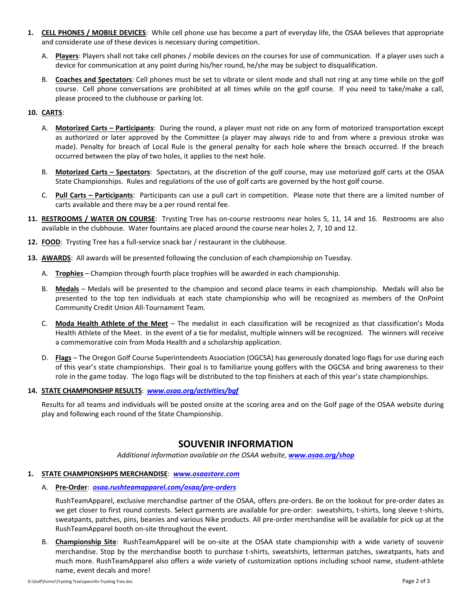- **1. CELL PHONES / MOBILE DEVICES**: While cell phone use has become a part of everyday life, the OSAA believes that appropriate and considerate use of these devices is necessary during competition.
	- A. **Players**: Players shall not take cell phones / mobile devices on the courses for use of communication. If a player uses such a device for communication at any point during his/her round, he/she may be subject to disqualification.
	- B. **Coaches and Spectators**: Cell phones must be set to vibrate or silent mode and shall not ring at any time while on the golf course. Cell phone conversations are prohibited at all times while on the golf course. If you need to take/make a call, please proceed to the clubhouse or parking lot.

### **10. CARTS**:

- A. **Motorized Carts – Participants**: During the round, a player must not ride on any form of motorized transportation except as authorized or later approved by the Committee (a player may always ride to and from where a previous stroke was made). Penalty for breach of Local Rule is the general penalty for each hole where the breach occurred. If the breach occurred between the play of two holes, it applies to the next hole.
- B. **Motorized Carts – Spectators**: Spectators, at the discretion of the golf course, may use motorized golf carts at the OSAA State Championships. Rules and regulations of the use of golf carts are governed by the host golf course.
- C. **Pull Carts – Participants**: Participants can use a pull cart in competition. Please note that there are a limited number of carts available and there may be a per round rental fee.
- **11. RESTROOMS / WATER ON COURSE**: Trysting Tree has on‐course restrooms near holes 5, 11, 14 and 16. Restrooms are also available in the clubhouse. Water fountains are placed around the course near holes 2, 7, 10 and 12.
- 12. **FOOD**: Trysting Tree has a full-service snack bar / restaurant in the clubhouse.
- **13. AWARDS**: All awards will be presented following the conclusion of each championship on Tuesday.
	- A. **Trophies** Champion through fourth place trophies will be awarded in each championship.
	- B. **Medals** Medals will be presented to the champion and second place teams in each championship. Medals will also be presented to the top ten individuals at each state championship who will be recognized as members of the OnPoint Community Credit Union All‐Tournament Team.
	- C. **Moda Health Athlete of the Meet** The medalist in each classification will be recognized as that classification's Moda Health Athlete of the Meet. In the event of a tie for medalist, multiple winners will be recognized. The winners will receive a commemorative coin from Moda Health and a scholarship application.
	- D. **Flags** The Oregon Golf Course Superintendents Association (OGCSA) has generously donated logo flags for use during each of this year's state championships. Their goal is to familiarize young golfers with the OGCSA and bring awareness to their role in the game today. The logo flags will be distributed to the top finishers at each of this year's state championships.

#### **14. STATE CHAMPIONSHIP RESULTS**: *[www.osaa.org/activities/bgf](https://www.osaa.org/activities/bgf)*

Results for all teams and individuals will be posted onsite at the scoring area and on the Golf page of the OSAA website during play and following each round of the State Championship.

# **SOUVENIR INFORMATION**

*Additional information available on the OSAA website, [www.osaa.org/shop](https://www.osaa.org/shop)*

## **1. STATE CHAMPIONSHIPS MERCHANDISE**: *[www.osaastore.com](https://www.osaastore.com)*

A. **Pre‐Order**:*[osaa.rushteamapparel.com/osaa/pre](https://osaa.rushteamapparel.com/osaa/pre-orders)‐orders*

RushTeamApparel, exclusive merchandise partner of the OSAA, offers pre‐orders. Be on the lookout for pre‐order dates as we get closer to first round contests. Select garments are available for pre-order: sweatshirts, t-shirts, long sleeve t-shirts, sweatpants, patches, pins, beanies and various Nike products. All pre‐order merchandise will be available for pick up at the RushTeamApparel booth on‐site throughout the event.

B. **Championship Site**: RushTeamApparel will be on‐site at the OSAA state championship with a wide variety of souvenir merchandise. Stop by the merchandise booth to purchase t-shirts, sweatshirts, letterman patches, sweatpants, hats and much more. RushTeamApparel also offers a wide variety of customization options including school name, student‐athlete name, event decals and more!